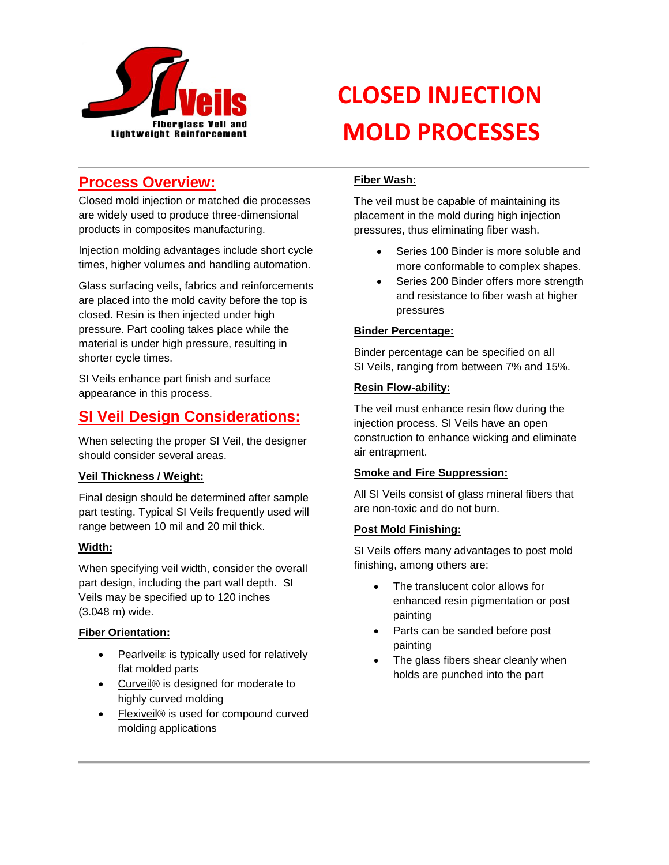

## **Process Overview:**

Closed mold injection or matched die processes are widely used to produce three-dimensional products in composites manufacturing.

Injection molding advantages include short cycle times, higher volumes and handling automation.

Glass surfacing veils, fabrics and reinforcements are placed into the mold cavity before the top is closed. Resin is then injected under high pressure. Part cooling takes place while the material is under high pressure, resulting in shorter cycle times.

SI Veils enhance part finish and surface appearance in this process.

## **SI Veil Design Considerations:**

When selecting the proper SI Veil, the designer should consider several areas.

#### **Veil Thickness / Weight:**

Final design should be determined after sample part testing. Typical SI Veils frequently used will range between 10 mil and 20 mil thick.

#### **Width:**

When specifying veil width, consider the overall part design, including the part wall depth. SI Veils may be specified up to 120 inches (3.048 m) wide.

#### **Fiber Orientation:**

- Pearlveil<sup>®</sup> is typically used for relatively flat molded parts
- Curveil® is designed for moderate to highly curved molding
- Flexiveil® is used for compound curved molding applications

# **CLOSED INJECTION MOLD PROCESSES**

#### **Fiber Wash:**

The veil must be capable of maintaining its placement in the mold during high injection pressures, thus eliminating fiber wash.

- Series 100 Binder is more soluble and more conformable to complex shapes.
- Series 200 Binder offers more strength and resistance to fiber wash at higher pressures

#### **Binder Percentage:**

Binder percentage can be specified on all SI Veils, ranging from between 7% and 15%.

#### **Resin Flow-ability:**

The veil must enhance resin flow during the injection process. SI Veils have an open construction to enhance wicking and eliminate air entrapment.

#### **Smoke and Fire Suppression:**

All SI Veils consist of glass mineral fibers that are non-toxic and do not burn.

#### **Post Mold Finishing:**

SI Veils offers many advantages to post mold finishing, among others are:

- The translucent color allows for enhanced resin pigmentation or post painting
- Parts can be sanded before post painting
- The glass fibers shear cleanly when holds are punched into the part